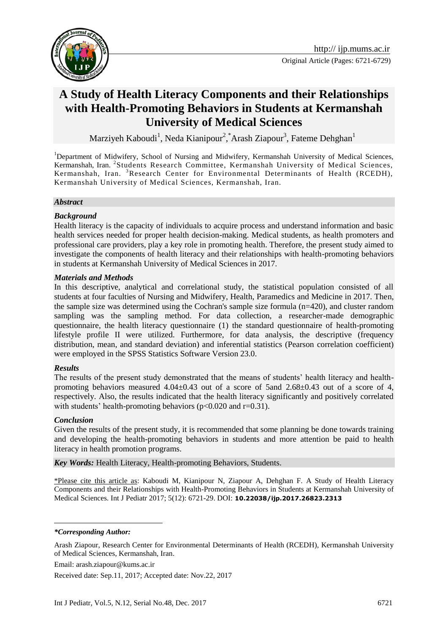

# **A Study of Health Literacy Components and their Relationships with Health-Promoting Behaviors in Students at Kermanshah University of Medical Sciences**

Marziyeh Kaboudi<sup>1</sup>, Neda Kianipour<sup>2</sup>, \*Arash Ziapour<sup>3</sup>, Fateme Dehghan<sup>1</sup>

<sup>1</sup>Department of Midwifery, School of Nursing and Midwifery, Kermanshah University of Medical Sciences, Kermanshah, Iran. <sup>2</sup>Students Research Committee, Kermanshah University of Medical Sciences, Kermanshah, Iran. <sup>3</sup>Research Center for Environmental Determinants of Health (RCEDH), Kermanshah University of Medical Sciences, Kermanshah, Iran.

#### *Abstract*

#### *Background*

Health literacy is the capacity of individuals to acquire process and understand information and basic health services needed for proper health decision-making. Medical students, as health promoters and professional care providers, play a key role in promoting health. Therefore, the present study aimed to investigate the components of health literacy and their relationships with health-promoting behaviors in students at Kermanshah University of Medical Sciences in 2017.

#### *Materials and Methods*

In this descriptive, analytical and correlational study, the statistical population consisted of all students at four faculties of Nursing and Midwifery, Health, Paramedics and Medicine in 2017. Then, the sample size was determined using the Cochran's sample size formula (n=420), and cluster random sampling was the sampling method. For data collection, a researcher-made demographic questionnaire, the health literacy questionnaire (1) the standard questionnaire of health-promoting lifestyle profile II were utilized. Furthermore, for data analysis, the descriptive (frequency distribution, mean, and standard deviation) and inferential statistics (Pearson correlation coefficient) were employed in the SPSS Statistics Software Version 23.0.

#### *Results*

The results of the present study demonstrated that the means of students' health literacy and healthpromoting behaviors measured  $4.04\pm0.43$  out of a score of 5and  $2.68\pm0.43$  out of a score of 4, respectively. Also, the results indicated that the health literacy significantly and positively correlated with students' health-promoting behaviors ( $p<0.020$  and  $r=0.31$ ).

#### *Conclusion*

Given the results of the present study, it is recommended that some planning be done towards training and developing the health-promoting behaviors in students and more attention be paid to health literacy in health promotion programs.

*Key Words:* Health Literacy, Health-promoting Behaviors, Students.

\*Please cite this article as: Kaboudi M, Kianipour N, Ziapour A, Dehghan F. A Study of Health Literacy Components and their Relationships with Health-Promoting Behaviors in Students at Kermanshah University of Medical Sciences. Int J Pediatr 2017; 5(12): 6721-29. DOI: **10.22038/ijp.2017.26823.2313**

<u>.</u>

Email: arash.ziapour@kums.ac.ir

Received date: Sep.11, 2017; Accepted date: Nov.22, 2017

*<sup>\*</sup>Corresponding Author:*

Arash Ziapour, Research Center for Environmental Determinants of Health (RCEDH), Kermanshah University of Medical Sciences, Kermanshah, Iran.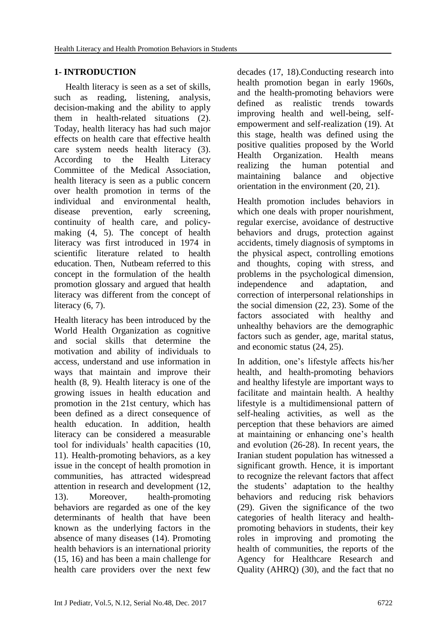# **1- INTRODUCTION**

 Health literacy is seen as a set of skills, such as reading, listening, analysis, decision-making and the ability to apply them in health-related situations (2). Today, health literacy has had such major effects on health care that effective health care system needs health literacy (3). According to the Health Literacy Committee of the Medical Association, health literacy is seen as a public concern over health promotion in terms of the individual and environmental health, disease prevention, early screening, continuity of health care, and policymaking (4, 5). The concept of health literacy was first introduced in 1974 in scientific literature related to health education. Then, Nutbeam referred to this concept in the formulation of the health promotion glossary and argued that health literacy was different from the concept of literacy  $(6, 7)$ .

Health literacy has been introduced by the World Health Organization as cognitive and social skills that determine the motivation and ability of individuals to access, understand and use information in ways that maintain and improve their health (8, 9). Health literacy is one of the growing issues in health education and promotion in the 21st century, which has been defined as a direct consequence of health education. In addition, health literacy can be considered a measurable tool for individuals' health capacities (10, 11). Health-promoting behaviors, as a key issue in the concept of health promotion in communities, has attracted widespread attention in research and development (12, 13). Moreover, health-promoting behaviors are regarded as one of the key determinants of health that have been known as the underlying factors in the absence of many diseases (14). Promoting health behaviors is an international priority (15, 16) and has been a main challenge for health care providers over the next few

decades (17, 18).Conducting research into health promotion began in early 1960s, and the health-promoting behaviors were defined as realistic trends towards improving health and well-being, selfempowerment and self-realization (19). At this stage, health was defined using the positive qualities proposed by the World Health Organization. Health means realizing the human potential and maintaining balance and objective orientation in the environment (20, 21).

Health promotion includes behaviors in which one deals with proper nourishment, regular exercise, avoidance of destructive behaviors and drugs, protection against accidents, timely diagnosis of symptoms in the physical aspect, controlling emotions and thoughts, coping with stress, and problems in the psychological dimension, independence and adaptation, and correction of interpersonal relationships in the social dimension (22, 23). Some of the factors associated with healthy and unhealthy behaviors are the demographic factors such as gender, age, marital status, and economic status (24, 25).

In addition, one's lifestyle affects his/her health, and health-promoting behaviors and healthy lifestyle are important ways to facilitate and maintain health. A healthy lifestyle is a multidimensional pattern of self-healing activities, as well as the perception that these behaviors are aimed at maintaining or enhancing one's health and evolution (26-28). In recent years, the Iranian student population has witnessed a significant growth. Hence, it is important to recognize the relevant factors that affect the students' adaptation to the healthy behaviors and reducing risk behaviors (29). Given the significance of the two categories of health literacy and healthpromoting behaviors in students, their key roles in improving and promoting the health of communities, the reports of the Agency for Healthcare Research and Quality (AHRQ) (30), and the fact that no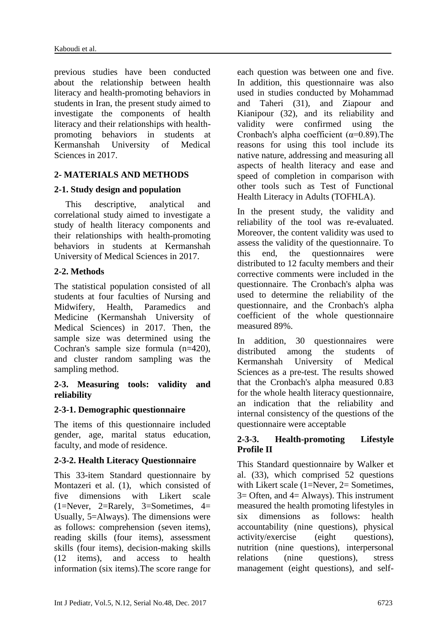previous studies have been conducted about the relationship between health literacy and health-promoting behaviors in students in Iran, the present study aimed to investigate the components of health literacy and their relationships with healthpromoting behaviors in students at Kermanshah University of Medical Sciences in 2017.

#### **2- MATERIALS AND METHODS**

### **2-1. Study design and population**

 This descriptive, analytical and correlational study aimed to investigate a study of health literacy components and their relationships with health-promoting behaviors in students at Kermanshah University of Medical Sciences in 2017.

### **2-2. Methods**

The statistical population consisted of all students at four faculties of Nursing and Midwifery, Health, Paramedics and Medicine (Kermanshah University of Medical Sciences) in 2017. Then, the sample size was determined using the Cochran's sample size formula (n=420), and cluster random sampling was the sampling method.

#### **2-3. Measuring tools: validity and reliability**

# **2-3-1. Demographic questionnaire**

The items of this questionnaire included gender, age, marital status education, faculty, and mode of residence.

# **2-3-2. Health Literacy Questionnaire**

This 33-item Standard questionnaire by Montazeri et al. (1), which consisted of five dimensions with Likert scale  $(1=Never, 2=Rarely, 3=Sometimes, 4=$ Usually, 5=Always). The dimensions were as follows: comprehension (seven items), reading skills (four items), assessment skills (four items), decision-making skills (12 items), and access to health information (six items).The score range for

each question was between one and five. In addition, this questionnaire was also used in studies conducted by Mohammad and Taheri (31), and Ziapour and Kianipour (32), and its reliability and validity were confirmed using the Cronbach's alpha coefficient  $(\alpha=0.89)$ . The reasons for using this tool include its native nature, addressing and measuring all aspects of health literacy and ease and speed of completion in comparison with other tools such as Test of Functional Health Literacy in Adults (TOFHLA).

In the present study, the validity and reliability of the tool was re-evaluated. Moreover, the content validity was used to assess the validity of the questionnaire. To this end, the questionnaires were distributed to 12 faculty members and their corrective comments were included in the questionnaire. The Cronbach's alpha was used to determine the reliability of the questionnaire, and the Cronbach's alpha coefficient of the whole questionnaire measured 89%.

In addition, 30 questionnaires were distributed among the students of Kermanshah University of Medical Sciences as a pre-test. The results showed that the Cronbach's alpha measured 0.83 for the whole health literacy questionnaire, an indication that the reliability and internal consistency of the questions of the questionnaire were acceptable

### **2-3-3. Health-promoting Lifestyle Profile II**

This Standard questionnaire by Walker et al. (33), which comprised 52 questions with Likert scale (1=Never, 2= Sometimes,  $3=$  Often, and  $4=$  Always). This instrument measured the health promoting lifestyles in six dimensions as follows: health accountability (nine questions), physical activity/exercise (eight questions), nutrition (nine questions), interpersonal relations (nine questions), stress management (eight questions), and self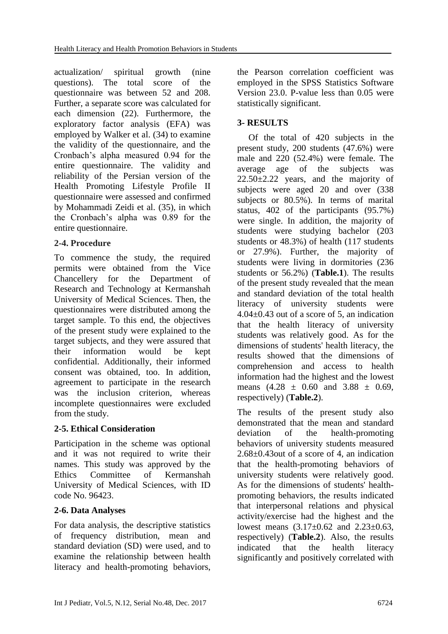actualization/ spiritual growth (nine questions). The total score of the questionnaire was between 52 and 208. Further, a separate score was calculated for each dimension (22). Furthermore, the exploratory factor analysis (EFA) was employed by Walker et al. (34) to examine the validity of the questionnaire, and the Cronbach's alpha measured 0.94 for the entire questionnaire. The validity and reliability of the Persian version of the Health Promoting Lifestyle Profile II questionnaire were assessed and confirmed by Mohammadi Zeidi et al. (35), in which the Cronbach's alpha was 0.89 for the entire questionnaire.

### **2-4. Procedure**

To commence the study, the required permits were obtained from the Vice Chancellery for the Department of Research and Technology at Kermanshah University of Medical Sciences. Then, the questionnaires were distributed among the target sample. To this end, the objectives of the present study were explained to the target subjects, and they were assured that their information would be kept confidential. Additionally, their informed consent was obtained, too. In addition, agreement to participate in the research was the inclusion criterion, whereas incomplete questionnaires were excluded from the study.

# **2-5. Ethical Consideration**

Participation in the scheme was optional and it was not required to write their names. This study was approved by the Ethics Committee of Kermanshah University of Medical Sciences, with ID code No. 96423.

# **2-6. Data Analyses**

For data analysis, the descriptive statistics of frequency distribution, mean and standard deviation (SD) were used, and to examine the relationship between health literacy and health-promoting behaviors, the Pearson correlation coefficient was employed in the SPSS Statistics Software Version 23.0. P-value less than 0.05 were statistically significant.

# **3- RESULTS**

 Of the total of 420 subjects in the present study, 200 students (47.6%) were male and 220 (52.4%) were female. The average age of the subjects was  $22.50\pm2.22$  years, and the majority of subjects were aged 20 and over (338 subjects or 80.5%). In terms of marital status, 402 of the participants (95.7%) were single. In addition, the majority of students were studying bachelor (203 students or 48.3%) of health (117 students or 27.9%). Further, the majority of students were living in dormitories (236 students or 56.2%) (**Table.1**). The results of the present study revealed that the mean and standard deviation of the total health literacy of university students were  $4.04\pm0.43$  out of a score of 5, an indication that the health literacy of university students was relatively good. As for the dimensions of students' health literacy, the results showed that the dimensions of comprehension and access to health information had the highest and the lowest means  $(4.28 \pm 0.60)$  and  $3.88 \pm 0.69$ , respectively) (**Table.2**).

The results of the present study also demonstrated that the mean and standard deviation of the health-promoting behaviors of university students measured 2.68±0.43out of a score of 4, an indication that the health-promoting behaviors of university students were relatively good. As for the dimensions of students' healthpromoting behaviors, the results indicated that interpersonal relations and physical activity/exercise had the highest and the lowest means  $(3.17 \pm 0.62$  and  $2.23 \pm 0.63$ , respectively) (**Table.2**). Also, the results indicated that the health literacy significantly and positively correlated with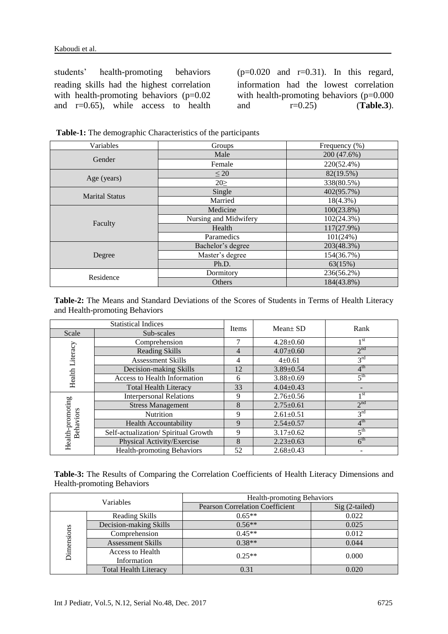students' health-promoting behaviors (p=0.020 and r=0.31). In this regard, reading skills had the highest correlation with health-promoting behaviors (p=0.02) and r=0.65), while access to health

information had the lowest correlation with health-promoting behaviors (p=0.000 and r=0.25) (**Table.3**).

| Variables             | Groups                | Frequency (%) |
|-----------------------|-----------------------|---------------|
|                       | Male                  | 200 (47.6%)   |
| Gender                | Female                | 220(52.4%)    |
|                       | $\leq 20$             | 82(19.5%)     |
| Age (years)           | $20 \geq$             | 338(80.5%)    |
| <b>Marital Status</b> | Single                | 402(95.7%)    |
|                       | Married               | $18(4.3\%)$   |
| Faculty               | Medicine              | $100(23.8\%)$ |
|                       | Nursing and Midwifery | 102(24.3%)    |
|                       | Health                | 117(27.9%)    |
|                       | Paramedics            | 101(24%)      |
|                       | Bachelor's degree     | 203(48.3%)    |
| Degree                | Master's degree       | 154(36.7%)    |
|                       | Ph.D.                 | 63(15%)       |
| Residence             | Dormitory             | 236(56.2%)    |
|                       | Others                | 184(43.8%)    |

**Table-1:** The demographic Characteristics of the participants

**Table-2:** The Means and Standard Deviations of the Scores of Students in Terms of Health Literacy and Health-promoting Behaviors

| <b>Statistical Indices</b>    |                                      |       | $Mean \pm SD$   |                 |
|-------------------------------|--------------------------------------|-------|-----------------|-----------------|
| Scale                         | Sub-scales                           | Items |                 | Rank            |
| Health Literacy               | Comprehension                        | 7     | $4.28 \pm 0.60$ | 1 st            |
|                               | <b>Reading Skills</b>                | 4     | $4.07 \pm 0.60$ | 2 <sup>nd</sup> |
|                               | Assessment Skills                    | 4     | $4 \pm 0.61$    | $3^{\text{rd}}$ |
|                               | Decision-making Skills               | 12    | $3.89 \pm 0.54$ | $4^{\text{th}}$ |
|                               | Access to Health Information         | 6     | $3.88 \pm 0.69$ | 5 <sup>th</sup> |
|                               | <b>Total Health Literacy</b>         | 33    | $4.04 \pm 0.43$ |                 |
| Health-promoting<br>Behaviors | <b>Interpersonal Relations</b>       | 9     | $2.76 \pm 0.56$ | 1 st            |
|                               | <b>Stress Management</b>             | 8     | $2.75 \pm 0.61$ | 2 <sup>nd</sup> |
|                               | Nutrition                            | 9     | $2.61 \pm 0.51$ | 3 <sup>rd</sup> |
|                               | <b>Health Accountability</b>         | 9     | $2.54 \pm 0.57$ | 4 <sup>th</sup> |
|                               | Self-actualization/ Spiritual Growth | 9     | $3.17 \pm 0.62$ | 5 <sup>th</sup> |
|                               | Physical Activity/Exercise           | 8     | $2.23 \pm 0.63$ | 6 <sup>th</sup> |
|                               | Health-promoting Behaviors           | 52    | $2.68 \pm 0.43$ |                 |

**Table-3:** The Results of Comparing the Correlation Coefficients of Health Literacy Dimensions and Health-promoting Behaviors

| Variables  |                                 | <b>Health-promoting Behaviors</b>      |                 |  |
|------------|---------------------------------|----------------------------------------|-----------------|--|
|            |                                 | <b>Pearson Correlation Coefficient</b> | $Sig(2-tailed)$ |  |
| Dimensions | Reading Skills                  | $0.65**$                               | 0.022           |  |
|            | Decision-making Skills          | $0.56**$                               | 0.025           |  |
|            | Comprehension                   | $0.45**$                               | 0.012           |  |
|            | <b>Assessment Skills</b>        | $0.38**$                               | 0.044           |  |
|            | Access to Health<br>Information | $0.25**$                               | 0.000           |  |
|            | <b>Total Health Literacy</b>    | 0.31                                   | 0.020           |  |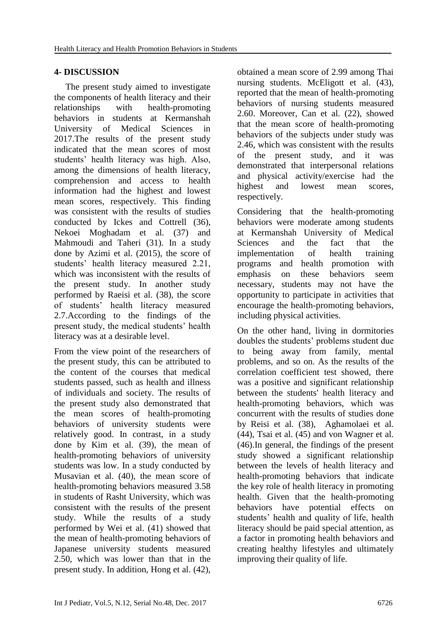# **4- DISCUSSION**

 The present study aimed to investigate the components of health literacy and their relationships with health-promoting behaviors in students at Kermanshah University of Medical Sciences in 2017.The results of the present study indicated that the mean scores of most students' health literacy was high. Also, among the dimensions of health literacy, comprehension and access to health information had the highest and lowest mean scores, respectively. This finding was consistent with the results of studies conducted by Ickes and Cottrell (36), Nekoei Moghadam et al. (37) and Mahmoudi and Taheri (31). In a study done by Azimi et al. (2015), the score of students' health literacy measured 2.21, which was inconsistent with the results of the present study. In another study performed by Raeisi et al. (38), the score of students' health literacy measured 2.7.According to the findings of the present study, the medical students' health literacy was at a desirable level.

From the view point of the researchers of the present study, this can be attributed to the content of the courses that medical students passed, such as health and illness of individuals and society. The results of the present study also demonstrated that the mean scores of health-promoting behaviors of university students were relatively good. In contrast, in a study done by Kim et al. (39), the mean of health-promoting behaviors of university students was low. In a study conducted by Musavian et al. (40), the mean score of health-promoting behaviors measured 3.58 in students of Rasht University, which was consistent with the results of the present study. While the results of a study performed by Wei et al. (41) showed that the mean of health-promoting behaviors of Japanese university students measured 2.50, which was lower than that in the present study. In addition, Hong et al. (42),

obtained a mean score of 2.99 among Thai nursing students. McEligott et al.  $(43)$ , reported that the mean of health-promoting behaviors of nursing students measured 2.60. Moreover, Can et al. (22), showed that the mean score of health-promoting behaviors of the subjects under study was 2.46, which was consistent with the results of the present study, and it was demonstrated that interpersonal relations and physical activity/exercise had the highest and lowest mean scores, respectively.

Considering that the health-promoting behaviors were moderate among students at Kermanshah University of Medical Sciences and the fact that the implementation of health training programs and health promotion with emphasis on these behaviors seem necessary, students may not have the opportunity to participate in activities that encourage the health-promoting behaviors, including physical activities.

On the other hand, living in dormitories doubles the students' problems student due to being away from family, mental problems, and so on. As the results of the correlation coefficient test showed, there was a positive and significant relationship between the students' health literacy and health-promoting behaviors, which was concurrent with the results of studies done by Reisi et al. (38), Aghamolaei et al. (44), Tsai et al. (45) and von Wagner et al. (46).In general, the findings of the present study showed a significant relationship between the levels of health literacy and health-promoting behaviors that indicate the key role of health literacy in promoting health. Given that the health-promoting behaviors have potential effects on students' health and quality of life, health literacy should be paid special attention, as a factor in promoting health behaviors and creating healthy lifestyles and ultimately improving their quality of life.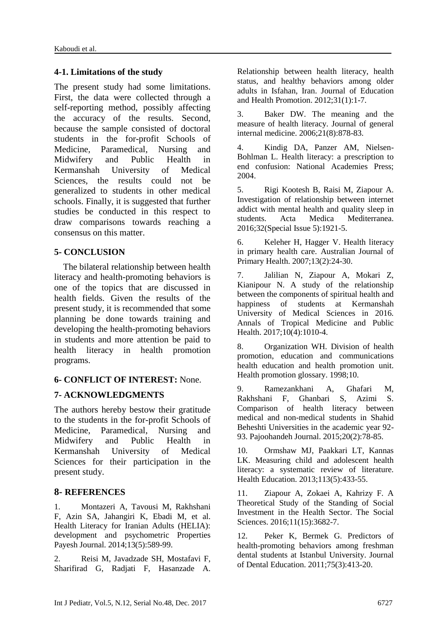#### **4-1. Limitations of the study**

The present study had some limitations. First, the data were collected through a self-reporting method, possibly affecting the accuracy of the results. Second, because the sample consisted of doctoral students in the for-profit Schools of Medicine, Paramedical, Nursing and Midwifery and Public Health in Kermanshah University of Medical Sciences, the results could not be generalized to students in other medical schools. Finally, it is suggested that further studies be conducted in this respect to draw comparisons towards reaching a consensus on this matter.

### **5- CONCLUSION**

 The bilateral relationship between health literacy and health-promoting behaviors is one of the topics that are discussed in health fields. Given the results of the present study, it is recommended that some planning be done towards training and developing the health-promoting behaviors in students and more attention be paid to health literacy in health promotion programs.

# **6- CONFLICT OF INTEREST:** None.

# **7- ACKNOWLEDGMENTS**

The authors hereby bestow their gratitude to the students in the for-profit Schools of Medicine, Paramedical, Nursing and Midwifery and Public Health in Kermanshah University of Medical Sciences for their participation in the present study.

# **8- REFERENCES**

1. Montazeri A, Tavousi M, Rakhshani F, Azin SA, Jahangiri K, Ebadi M, et al. Health Literacy for Iranian Adults (HELIA): development and psychometric Properties Payesh Journal. 2014;13(5):589-99.

2. Reisi M, Javadzade SH, Mostafavi F, Sharifirad G, Radjati F, Hasanzade A. Relationship between health literacy, health status, and healthy behaviors among older adults in Isfahan, Iran. Journal of Education and Health Promotion. 2012;31(1):1-7.

3. Baker DW. The meaning and the measure of health literacy. Journal of general internal medicine. 2006;21(8):878-83.

4. Kindig DA, Panzer AM, Nielsen-Bohlman L. Health literacy: a prescription to end confusion: National Academies Press; 2004.

5. Rigi Kootesh B, Raisi M, Ziapour A. Investigation of relationship between internet addict with mental health and quality sleep in students. Acta Medica Mediterranea. 2016;32(Special Issue 5):1921-5.

6. Keleher H, Hagger V. Health literacy in primary health care. Australian Journal of Primary Health. 2007;13(2):24-30.

7. Jalilian N, Ziapour A, Mokari Z, Kianipour N. A study of the relationship between the components of spiritual health and happiness of students at Kermanshah University of Medical Sciences in 2016. Annals of Tropical Medicine and Public Health. 2017;10(4):1010-4.

8. Organization WH. Division of health promotion, education and communications health education and health promotion unit. Health promotion glossary. 1998;10.

9. Ramezankhani A, Ghafari M, Rakhshani F, Ghanbari S, Azimi S. Comparison of health literacy between medical and non-medical students in Shahid Beheshti Universities in the academic year 92- 93. Pajoohandeh Journal. 2015;20(2):78-85.

10. Ormshaw MJ, Paakkari LT, Kannas LK. Measuring child and adolescent health literacy: a systematic review of literature. Health Education. 2013;113(5):433-55.

11. Ziapour A, Zokaei A, Kahrizy F. A Theoretical Study of the Standing of Social Investment in the Health Sector. The Social Sciences. 2016;11(15):3682-7.

12. Peker K, Bermek G. Predictors of health-promoting behaviors among freshman dental students at Istanbul University. Journal of Dental Education. 2011;75(3):413-20.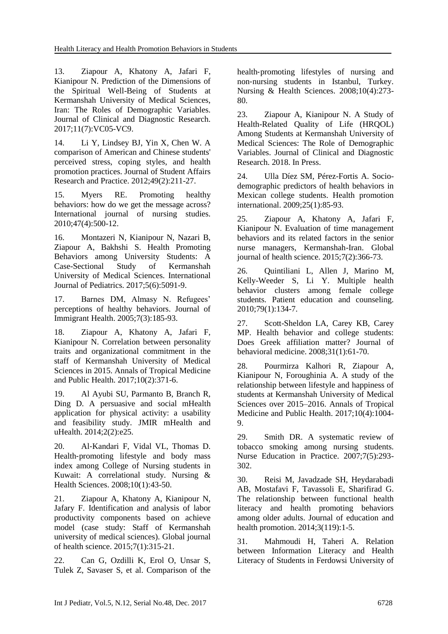13. Ziapour A, Khatony A, Jafari F, Kianipour N. Prediction of the Dimensions of the Spiritual Well-Being of Students at Kermanshah University of Medical Sciences, Iran: The Roles of Demographic Variables. Journal of Clinical and Diagnostic Research. 2017;11(7):VC05-VC9.

14. Li Y, Lindsey BJ, Yin X, Chen W. A comparison of American and Chinese students' perceived stress, coping styles, and health promotion practices. Journal of Student Affairs Research and Practice. 2012;49(2):211-27.

15. Myers RE. Promoting healthy behaviors: how do we get the message across? International journal of nursing studies. 2010;47(4):500-12.

16. Montazeri N, Kianipour N, Nazari B, Ziapour A, Bakhshi S. Health Promoting Behaviors among University Students: A Case-Sectional Study of Kermanshah University of Medical Sciences. International Journal of Pediatrics. 2017;5(6):5091-9.

17. Barnes DM, Almasy N. Refugees' perceptions of healthy behaviors. Journal of Immigrant Health. 2005;7(3):185-93.

18. Ziapour A, Khatony A, Jafari F, Kianipour N. Correlation between personality traits and organizational commitment in the staff of Kermanshah University of Medical Sciences in 2015. Annals of Tropical Medicine and Public Health. 2017;10(2):371-6.

19. Al Ayubi SU, Parmanto B, Branch R, Ding D. A persuasive and social mHealth application for physical activity: a usability and feasibility study. JMIR mHealth and uHealth. 2014;2(2):e25.

20. Al‐Kandari F, Vidal VL, Thomas D. Health‐promoting lifestyle and body mass index among College of Nursing students in Kuwait: A correlational study. Nursing & Health Sciences. 2008;10(1):43-50.

21. Ziapour A, Khatony A, Kianipour N, Jafary F. Identification and analysis of labor productivity components based on achieve model (case study: Staff of Kermanshah university of medical sciences). Global journal of health science. 2015;7(1):315-21.

22. Can G, Ozdilli K, Erol O, Unsar S, Tulek Z, Savaser S, et al. Comparison of the health‐promoting lifestyles of nursing and non‐nursing students in Istanbul, Turkey. Nursing & Health Sciences. 2008;10(4):273- 80.

23. Ziapour A, Kianipour N. A Study of Health-Related Quality of Life (HRQOL) Among Students at Kermanshah University of Medical Sciences: The Role of Demographic Variables. Journal of Clinical and Diagnostic Research. 2018. In Press.

24. Ulla Díez SM, Pérez-Fortis A. Sociodemographic predictors of health behaviors in Mexican college students. Health promotion international. 2009;25(1):85-93.

25. Ziapour A, Khatony A, Jafari F, Kianipour N. Evaluation of time management behaviors and its related factors in the senior nurse managers, Kermanshah-Iran. Global journal of health science. 2015;7(2):366-73.

26. Quintiliani L, Allen J, Marino M, Kelly-Weeder S, Li Y. Multiple health behavior clusters among female college students. Patient education and counseling. 2010;79(1):134-7.

27. Scott-Sheldon LA, Carey KB, Carey MP. Health behavior and college students: Does Greek affiliation matter? Journal of behavioral medicine. 2008;31(1):61-70.

28. Pourmirza Kalhori R, Ziapour A, Kianipour N, Foroughinia A. A study of the relationship between lifestyle and happiness of students at Kermanshah University of Medical Sciences over 2015–2016. Annals of Tropical Medicine and Public Health. 2017;10(4):1004- 9.

29. Smith DR. A systematic review of tobacco smoking among nursing students. Nurse Education in Practice. 2007;7(5):293- 302.

30. Reisi M, Javadzade SH, Heydarabadi AB, Mostafavi F, Tavassoli E, Sharifirad G. The relationship between functional health literacy and health promoting behaviors among older adults. Journal of education and health promotion. 2014;3(119):1-5.

31. Mahmoudi H, Taheri A. Relation between Information Literacy and Health Literacy of Students in Ferdowsi University of